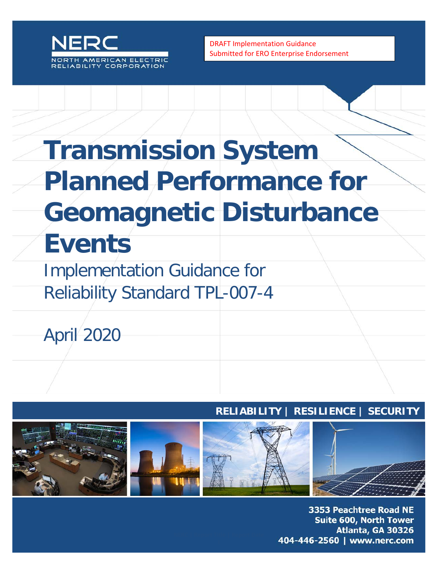

DRAFT Implementation Guidance Submitted for ERO Enterprise Endorsement

# **Transmission System Planned Performance for Geomagnetic Disturbance Events**

Implementation Guidance for Reliability Standard TPL-007-4

April 2020

#### **RELIABILITY | RESILIENCE | SECURITY**



3353 Peachtree Road NE **Suite 600, North Tower** Atlanta, GA 30326 404-446-2560 | www.nerc.com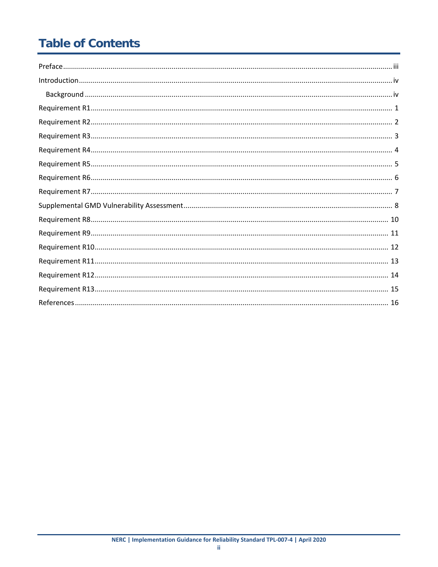## **Table of Contents**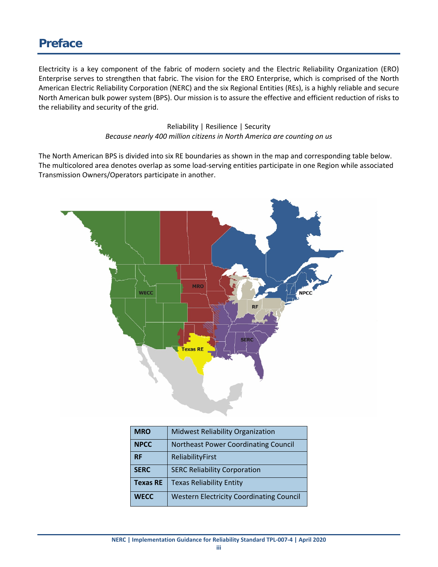#### <span id="page-2-0"></span>**Preface**

Electricity is a key component of the fabric of modern society and the Electric Reliability Organization (ERO) Enterprise serves to strengthen that fabric. The vision for the ERO Enterprise, which is comprised of the North American Electric Reliability Corporation (NERC) and the six Regional Entities (REs), is a highly reliable and secure North American bulk power system (BPS). Our mission is to assure the effective and efficient reduction of risks to the reliability and security of the grid.

> Reliability | Resilience | Security *Because nearly 400 million citizens in North America are counting on us*

The North American BPS is divided into six RE boundaries as shown in the map and corresponding table below. The multicolored area denotes overlap as some load-serving entities participate in one Region while associated Transmission Owners/Operators participate in another.



| <b>MRO</b>      | <b>Midwest Reliability Organization</b>         |
|-----------------|-------------------------------------------------|
| <b>NPCC</b>     | <b>Northeast Power Coordinating Council</b>     |
| <b>RF</b>       | ReliabilityFirst                                |
| <b>SERC</b>     | <b>SERC Reliability Corporation</b>             |
| <b>Texas RE</b> | <b>Texas Reliability Entity</b>                 |
| <b>WECC</b>     | <b>Western Electricity Coordinating Council</b> |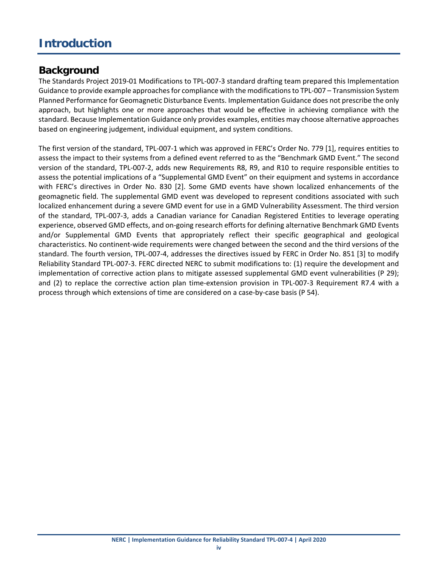#### <span id="page-3-0"></span>**Introduction**

#### <span id="page-3-1"></span>**Background**

The Standards Project 2019-01 Modifications to TPL-007-3 standard drafting team prepared this Implementation Guidance to provide example approaches for compliance with the modifications to TPL-007 – Transmission System Planned Performance for Geomagnetic Disturbance Events. Implementation Guidance does not prescribe the only approach, but highlights one or more approaches that would be effective in achieving compliance with the standard. Because Implementation Guidance only provides examples, entities may choose alternative approaches based on engineering judgement, individual equipment, and system conditions.

The first version of the standard, TPL-007-1 which was approved in FERC's Order No. 779 [1], requires entities to assess the impact to their systems from a defined event referred to as the "Benchmark GMD Event." The second version of the standard, TPL-007-2, adds new Requirements R8, R9, and R10 to require responsible entities to assess the potential implications of a "Supplemental GMD Event" on their equipment and systems in accordance with FERC's directives in Order No. 830 [2]. Some GMD events have shown localized enhancements of the geomagnetic field. The supplemental GMD event was developed to represent conditions associated with such localized enhancement during a severe GMD event for use in a GMD Vulnerability Assessment. The third version of the standard, TPL-007-3, adds a Canadian variance for Canadian Registered Entities to leverage operating experience, observed GMD effects, and on-going research efforts for defining alternative Benchmark GMD Events and/or Supplemental GMD Events that appropriately reflect their specific geographical and geological characteristics. No continent-wide requirements were changed between the second and the third versions of the standard. The fourth version, TPL-007-4, addresses the directives issued by FERC in Order No. 851 [3] to modify Reliability Standard TPL-007-3. FERC directed NERC to submit modifications to: (1) require the development and implementation of corrective action plans to mitigate assessed supplemental GMD event vulnerabilities (P 29); and (2) to replace the corrective action plan time-extension provision in TPL-007-3 Requirement R7.4 with a process through which extensions of time are considered on a case-by-case basis (P 54).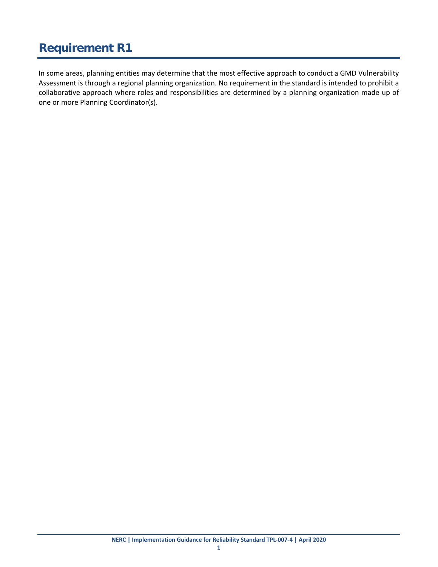<span id="page-4-0"></span>In some areas, planning entities may determine that the most effective approach to conduct a GMD Vulnerability Assessment is through a regional planning organization. No requirement in the standard is intended to prohibit a collaborative approach where roles and responsibilities are determined by a planning organization made up of one or more Planning Coordinator(s).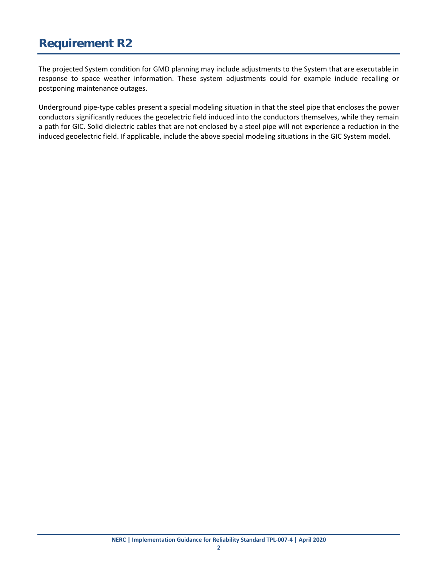<span id="page-5-0"></span>The projected System condition for GMD planning may include adjustments to the System that are executable in response to space weather information. These system adjustments could for example include recalling or postponing maintenance outages.

Underground pipe-type cables present a special modeling situation in that the steel pipe that encloses the power conductors significantly reduces the geoelectric field induced into the conductors themselves, while they remain a path for GIC. Solid dielectric cables that are not enclosed by a steel pipe will not experience a reduction in the induced geoelectric field. If applicable, include the above special modeling situations in the GIC System model.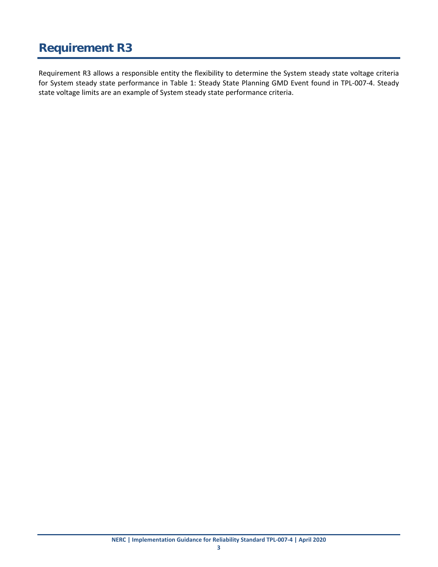<span id="page-6-0"></span>Requirement R3 allows a responsible entity the flexibility to determine the System steady state voltage criteria for System steady state performance in Table 1: Steady State Planning GMD Event found in TPL-007-4. Steady state voltage limits are an example of System steady state performance criteria.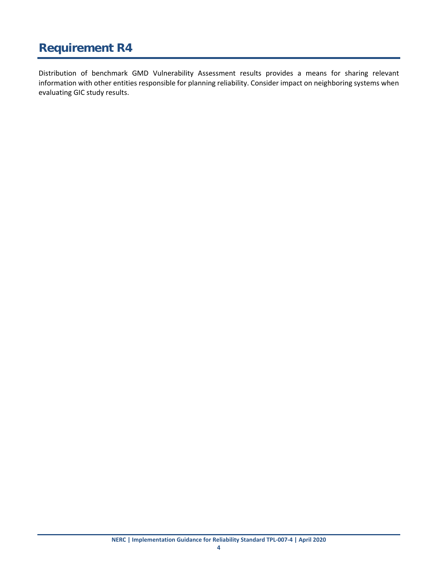<span id="page-7-0"></span>Distribution of benchmark GMD Vulnerability Assessment results provides a means for sharing relevant information with other entities responsible for planning reliability. Consider impact on neighboring systems when evaluating GIC study results.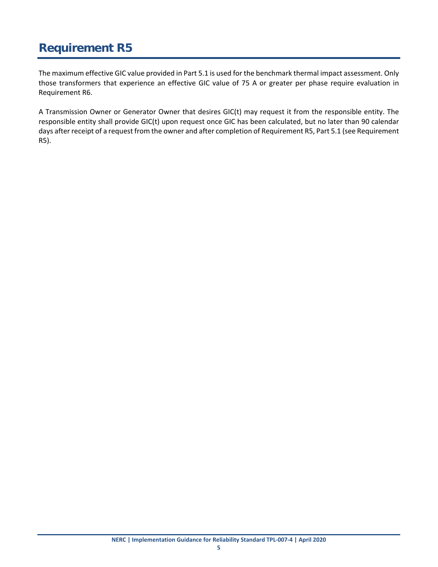<span id="page-8-0"></span>The maximum effective GIC value provided in Part 5.1 is used for the benchmark thermal impact assessment. Only those transformers that experience an effective GIC value of 75 A or greater per phase require evaluation in Requirement R6.

A Transmission Owner or Generator Owner that desires GIC(t) may request it from the responsible entity. The responsible entity shall provide GIC(t) upon request once GIC has been calculated, but no later than 90 calendar days after receipt of a request from the owner and after completion of Requirement R5, Part 5.1 (see Requirement R5).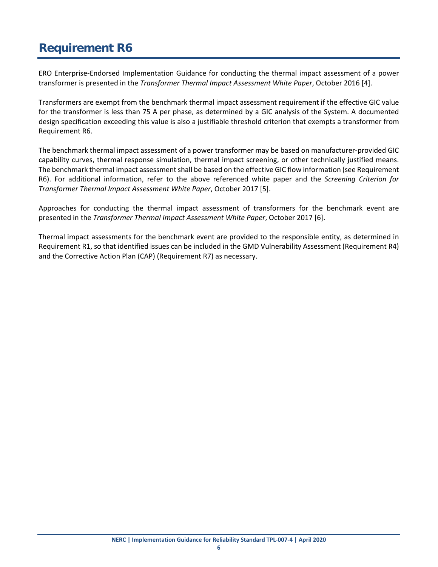<span id="page-9-0"></span>ERO Enterprise-Endorsed Implementation Guidance for conducting the thermal impact assessment of a power transformer is presented in the *Transformer Thermal Impact Assessment White Paper*, October 2016 [4].

Transformers are exempt from the benchmark thermal impact assessment requirement if the effective GIC value for the transformer is less than 75 A per phase, as determined by a GIC analysis of the System. A documented design specification exceeding this value is also a justifiable threshold criterion that exempts a transformer from Requirement R6.

The benchmark thermal impact assessment of a power transformer may be based on manufacturer-provided GIC capability curves, thermal response simulation, thermal impact screening, or other technically justified means. The benchmark thermal impact assessment shall be based on the effective GIC flow information (see Requirement R6). For additional information, refer to the above referenced white paper and the *Screening Criterion for Transformer Thermal Impact Assessment White Paper*, October 2017 [5].

Approaches for conducting the thermal impact assessment of transformers for the benchmark event are presented in the *Transformer Thermal Impact Assessment White Paper*, October 2017 [6].

Thermal impact assessments for the benchmark event are provided to the responsible entity, as determined in Requirement R1, so that identified issues can be included in the GMD Vulnerability Assessment (Requirement R4) and the Corrective Action Plan (CAP) (Requirement R7) as necessary.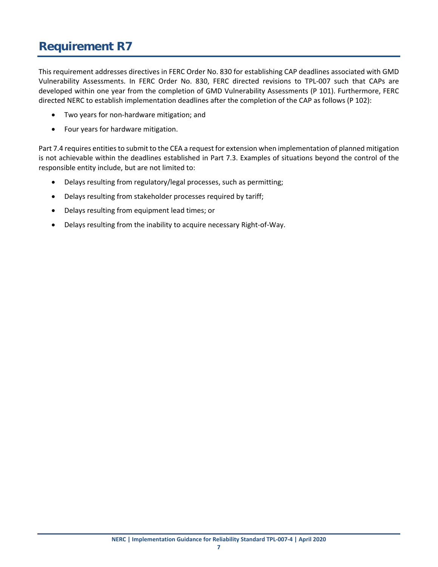<span id="page-10-0"></span>This requirement addresses directives in FERC Order No. 830 for establishing CAP deadlines associated with GMD Vulnerability Assessments. In FERC Order No. 830, FERC directed revisions to TPL-007 such that CAPs are developed within one year from the completion of GMD Vulnerability Assessments (P 101). Furthermore, FERC directed NERC to establish implementation deadlines after the completion of the CAP as follows (P 102):

- Two years for non-hardware mitigation; and
- Four years for hardware mitigation.

Part 7.4 requires entities to submit to the CEA a request for extension when implementation of planned mitigation is not achievable within the deadlines established in Part 7.3. Examples of situations beyond the control of the responsible entity include, but are not limited to:

- Delays resulting from regulatory/legal processes, such as permitting;
- Delays resulting from stakeholder processes required by tariff;
- Delays resulting from equipment lead times; or
- Delays resulting from the inability to acquire necessary Right-of-Way.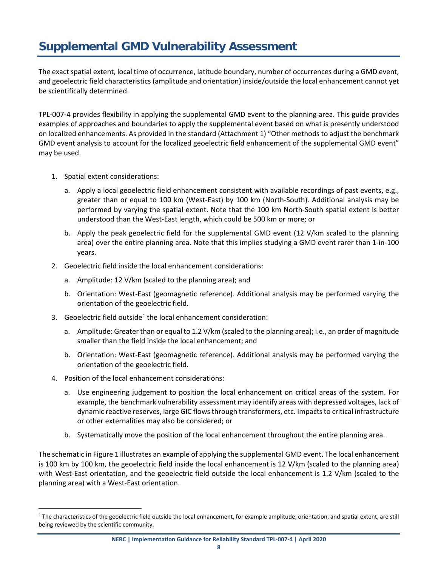### <span id="page-11-0"></span>**Supplemental GMD Vulnerability Assessment**

The exact spatial extent, local time of occurrence, latitude boundary, number of occurrences during a GMD event, and geoelectric field characteristics (amplitude and orientation) inside/outside the local enhancement cannot yet be scientifically determined.

TPL-007-4 provides flexibility in applying the supplemental GMD event to the planning area. This guide provides examples of approaches and boundaries to apply the supplemental event based on what is presently understood on localized enhancements. As provided in the standard (Attachment 1) "Other methods to adjust the benchmark GMD event analysis to account for the localized geoelectric field enhancement of the supplemental GMD event" may be used.

- 1. Spatial extent considerations:
	- a. Apply a local geoelectric field enhancement consistent with available recordings of past events, e.g., greater than or equal to 100 km (West-East) by 100 km (North-South). Additional analysis may be performed by varying the spatial extent. Note that the 100 km North-South spatial extent is better understood than the West-East length, which could be 500 km or more; or
	- b. Apply the peak geoelectric field for the supplemental GMD event (12 V/km scaled to the planning area) over the entire planning area. Note that this implies studying a GMD event rarer than 1-in-100 years.
- 2. Geoelectric field inside the local enhancement considerations:
	- a. Amplitude: 12 V/km (scaled to the planning area); and
	- b. Orientation: West-East (geomagnetic reference). Additional analysis may be performed varying the orientation of the geoelectric field.
- 3. Geoelectric field outside<sup>[1](#page-11-1)</sup> the local enhancement consideration:
	- a. Amplitude: Greater than or equal to 1.2 V/km (scaled to the planning area); i.e., an order of magnitude smaller than the field inside the local enhancement; and
	- b. Orientation: West-East (geomagnetic reference). Additional analysis may be performed varying the orientation of the geoelectric field.
- 4. Position of the local enhancement considerations:
	- a. Use engineering judgement to position the local enhancement on critical areas of the system. For example, the benchmark vulnerability assessment may identify areas with depressed voltages, lack of dynamic reactive reserves, large GIC flows through transformers, etc. Impactsto critical infrastructure or other externalities may also be considered; or
	- b. Systematically move the position of the local enhancement throughout the entire planning area.

The schematic in Figure 1 illustrates an example of applying the supplemental GMD event. The local enhancement is 100 km by 100 km, the geoelectric field inside the local enhancement is 12 V/km (scaled to the planning area) with West-East orientation, and the geoelectric field outside the local enhancement is 1.2 V/km (scaled to the planning area) with a West-East orientation.

<span id="page-11-1"></span><sup>&</sup>lt;sup>1</sup> The characteristics of the geoelectric field outside the local enhancement, for example amplitude, orientation, and spatial extent, are still being reviewed by the scientific community.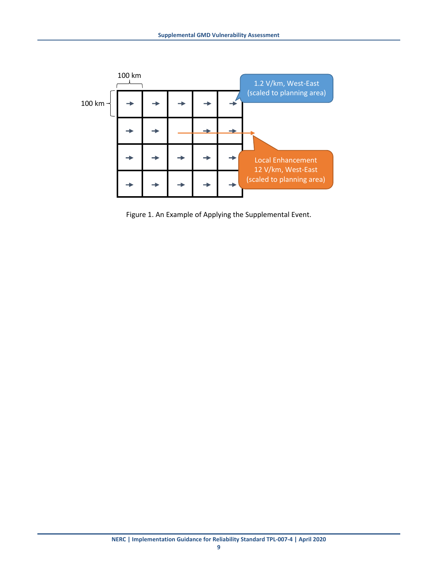

Figure 1. An Example of Applying the Supplemental Event.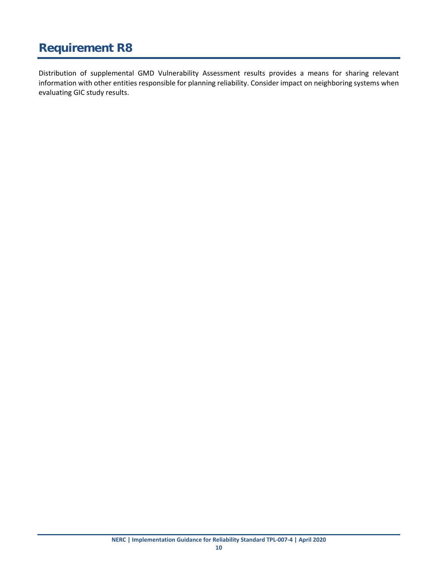<span id="page-13-0"></span>Distribution of supplemental GMD Vulnerability Assessment results provides a means for sharing relevant information with other entities responsible for planning reliability. Consider impact on neighboring systems when evaluating GIC study results.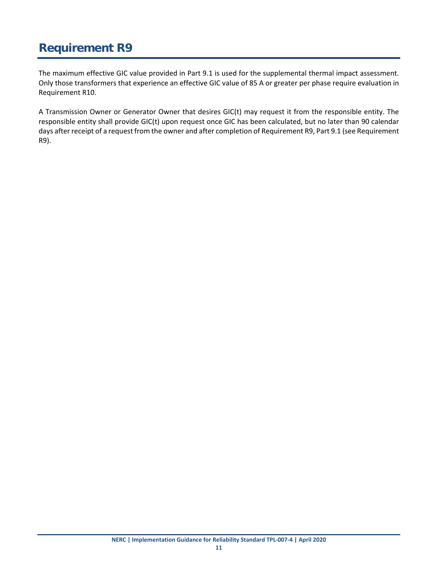<span id="page-14-0"></span>The maximum effective GIC value provided in Part 9.1 is used for the supplemental thermal impact assessment. Only those transformers that experience an effective GIC value of 85 A or greater per phase require evaluation in Requirement R10.

A Transmission Owner or Generator Owner that desires GIC(t) may request it from the responsible entity. The responsible entity shall provide GIC(t) upon request once GIC has been calculated, but no later than 90 calendar days after receipt of a request from the owner and after completion of Requirement R9, Part 9.1 (see Requirement R9).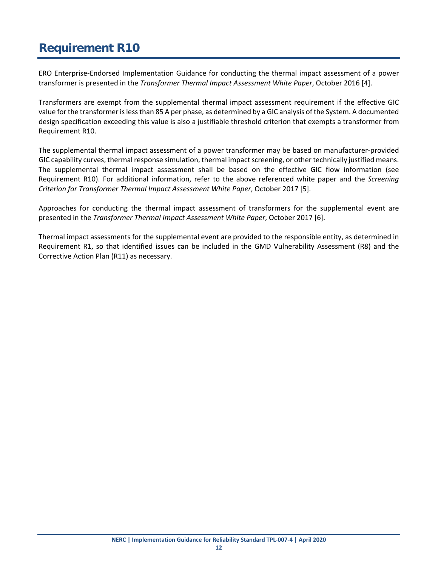<span id="page-15-0"></span>ERO Enterprise-Endorsed Implementation Guidance for conducting the thermal impact assessment of a power transformer is presented in the *Transformer Thermal Impact Assessment White Paper*, October 2016 [4].

Transformers are exempt from the supplemental thermal impact assessment requirement if the effective GIC value for the transformer is less than 85 A per phase, as determined by a GIC analysis of the System. A documented design specification exceeding this value is also a justifiable threshold criterion that exempts a transformer from Requirement R10.

The supplemental thermal impact assessment of a power transformer may be based on manufacturer-provided GIC capability curves, thermal response simulation, thermal impact screening, or other technically justified means. The supplemental thermal impact assessment shall be based on the effective GIC flow information (see Requirement R10). For additional information, refer to the above referenced white paper and the *Screening Criterion for Transformer Thermal Impact Assessment White Paper*, October 2017 [5].

Approaches for conducting the thermal impact assessment of transformers for the supplemental event are presented in the *Transformer Thermal Impact Assessment White Paper*, October 2017 [6].

Thermal impact assessments for the supplemental event are provided to the responsible entity, as determined in Requirement R1, so that identified issues can be included in the GMD Vulnerability Assessment (R8) and the Corrective Action Plan (R11) as necessary.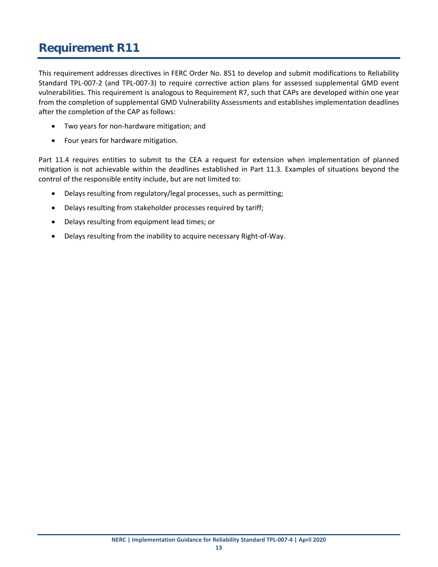<span id="page-16-0"></span>This requirement addresses directives in FERC Order No. 851 to develop and submit modifications to Reliability Standard TPL-007-2 (and TPL-007-3) to require corrective action plans for assessed supplemental GMD event vulnerabilities. This requirement is analogous to Requirement R7, such that CAPs are developed within one year from the completion of supplemental GMD Vulnerability Assessments and establishes implementation deadlines after the completion of the CAP as follows:

- Two years for non-hardware mitigation; and
- Four years for hardware mitigation.

Part 11.4 requires entities to submit to the CEA a request for extension when implementation of planned mitigation is not achievable within the deadlines established in Part 11.3. Examples of situations beyond the control of the responsible entity include, but are not limited to:

- Delays resulting from regulatory/legal processes, such as permitting;
- Delays resulting from stakeholder processes required by tariff;
- Delays resulting from equipment lead times; or
- Delays resulting from the inability to acquire necessary Right-of-Way.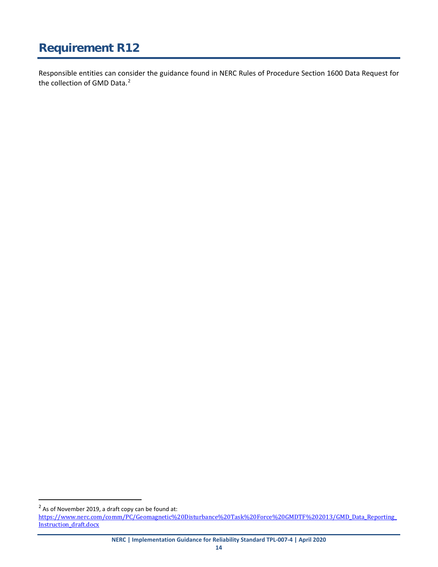<span id="page-17-0"></span>Responsible entities can consider the guidance found in NERC Rules of Procedure Section 1600 Data Request for the collection of GMD Data.<sup>[2](#page-17-1)</sup>

**NERC | Implementation Guidance for Reliability Standard TPL-007-4 | April 2020**

<span id="page-17-1"></span> $2$  As of November 2019, a draft copy can be found at:

[https://www.nerc.com/comm/PC/Geomagnetic%20Disturbance%20Task%20Force%20GMDTF%202013/GMD\\_Data\\_Reporting\\_](https://www.nerc.com/comm/PC/Geomagnetic%20Disturbance%20Task%20Force%20GMDTF%202013/GMD_Data_Reporting_Instruction_draft.docx) Instruction draft.docx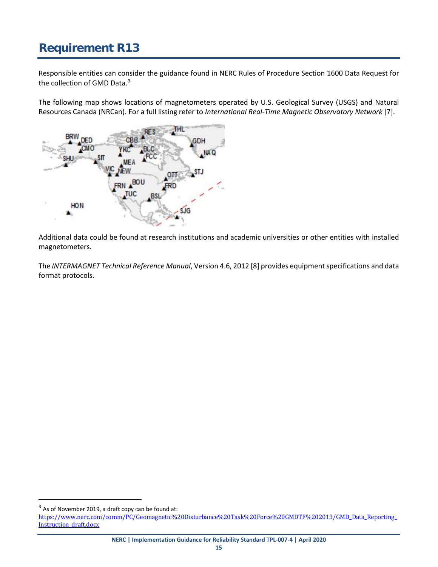<span id="page-18-0"></span>Responsible entities can consider the guidance found in NERC Rules of Procedure Section 1600 Data Request for the collection of GMD Data.<sup>[3](#page-18-1)</sup>

The following map shows locations of magnetometers operated by U.S. Geological Survey (USGS) and Natural Resources Canada (NRCan). For a full listing refer to *International Real-Time Magnetic Observatory Network* [7].



Additional data could be found at research institutions and academic universities or other entities with installed magnetometers.

The *INTERMAGNET Technical Reference Manual*, Version 4.6, 2012 [8] provides equipment specifications and data format protocols.

**NERC | Implementation Guidance for Reliability Standard TPL-007-4 | April 2020**

<span id="page-18-1"></span> $3$  As of November 2019, a draft copy can be found at:

[https://www.nerc.com/comm/PC/Geomagnetic%20Disturbance%20Task%20Force%20GMDTF%202013/GMD\\_Data\\_Reporting\\_](https://www.nerc.com/comm/PC/Geomagnetic%20Disturbance%20Task%20Force%20GMDTF%202013/GMD_Data_Reporting_Instruction_draft.docx) Instruction draft.docx